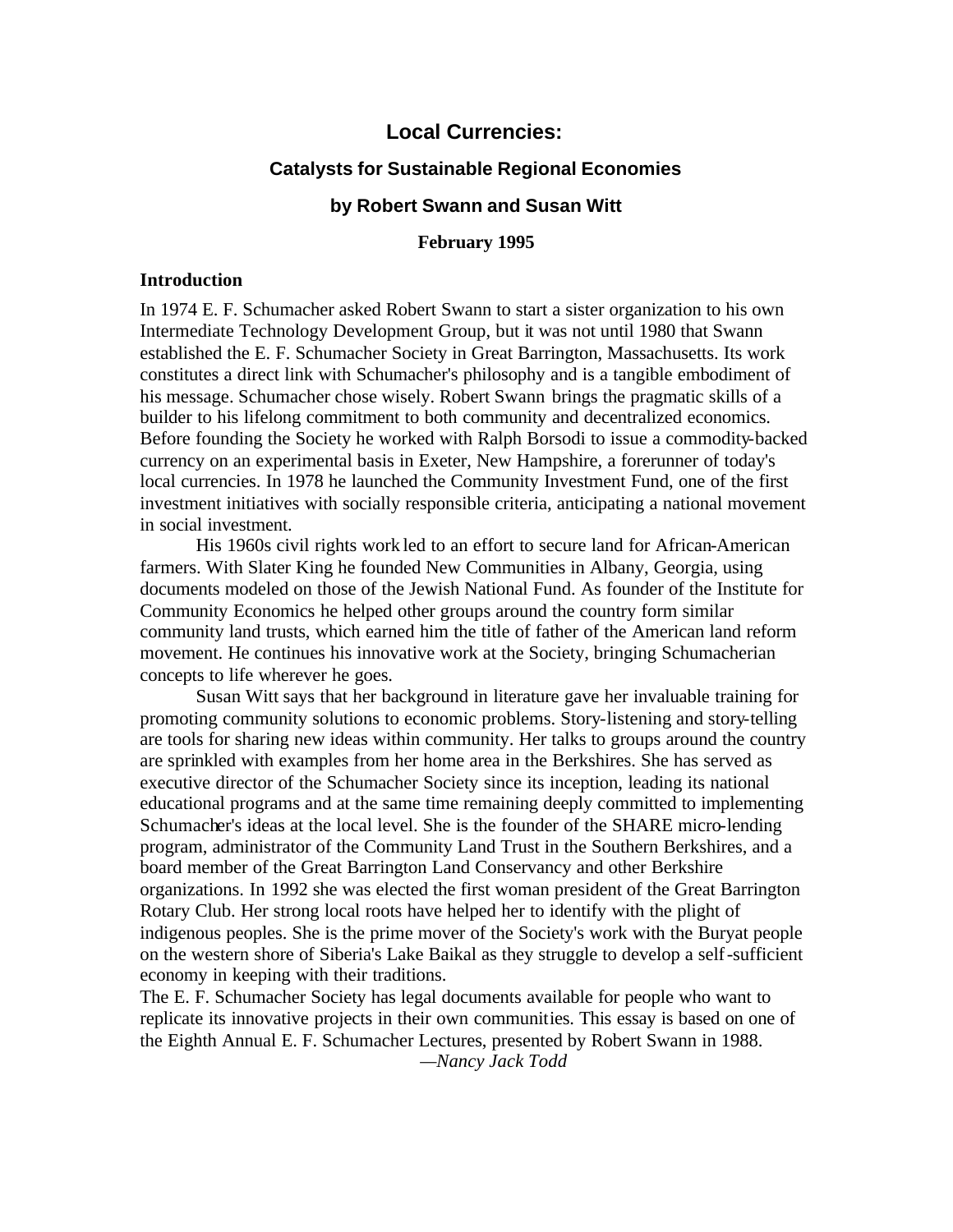# **Local Currencies:**

### **Catalysts for Sustainable Regional Economies**

### **by Robert Swann and Susan Witt**

#### **February 1995**

### **Introduction**

In 1974 E. F. Schumacher asked Robert Swann to start a sister organization to his own Intermediate Technology Development Group, but it was not until 1980 that Swann established the E. F. Schumacher Society in Great Barrington, Massachusetts. Its work constitutes a direct link with Schumacher's philosophy and is a tangible embodiment of his message. Schumacher chose wisely. Robert Swann brings the pragmatic skills of a builder to his lifelong commitment to both community and decentralized economics. Before founding the Society he worked with Ralph Borsodi to issue a commodity-backed currency on an experimental basis in Exeter, New Hampshire, a forerunner of today's local currencies. In 1978 he launched the Community Investment Fund, one of the first investment initiatives with socially responsible criteria, anticipating a national movement in social investment.

His 1960s civil rights work led to an effort to secure land for African-American farmers. With Slater King he founded New Communities in Albany, Georgia, using documents modeled on those of the Jewish National Fund. As founder of the Institute for Community Economics he helped other groups around the country form similar community land trusts, which earned him the title of father of the American land reform movement. He continues his innovative work at the Society, bringing Schumacherian concepts to life wherever he goes.

Susan Witt says that her background in literature gave her invaluable training for promoting community solutions to economic problems. Story-listening and story-telling are tools for sharing new ideas within community. Her talks to groups around the country are sprinkled with examples from her home area in the Berkshires. She has served as executive director of the Schumacher Society since its inception, leading its national educational programs and at the same time remaining deeply committed to implementing Schumacher's ideas at the local level. She is the founder of the SHARE micro-lending program, administrator of the Community Land Trust in the Southern Berkshires, and a board member of the Great Barrington Land Conservancy and other Berkshire organizations. In 1992 she was elected the first woman president of the Great Barrington Rotary Club. Her strong local roots have helped her to identify with the plight of indigenous peoples. She is the prime mover of the Society's work with the Buryat people on the western shore of Siberia's Lake Baikal as they struggle to develop a self-sufficient economy in keeping with their traditions.

The E. F. Schumacher Society has legal documents available for people who want to replicate its innovative projects in their own communities. This essay is based on one of the Eighth Annual E. F. Schumacher Lectures, presented by Robert Swann in 1988.

*—Nancy Jack Todd*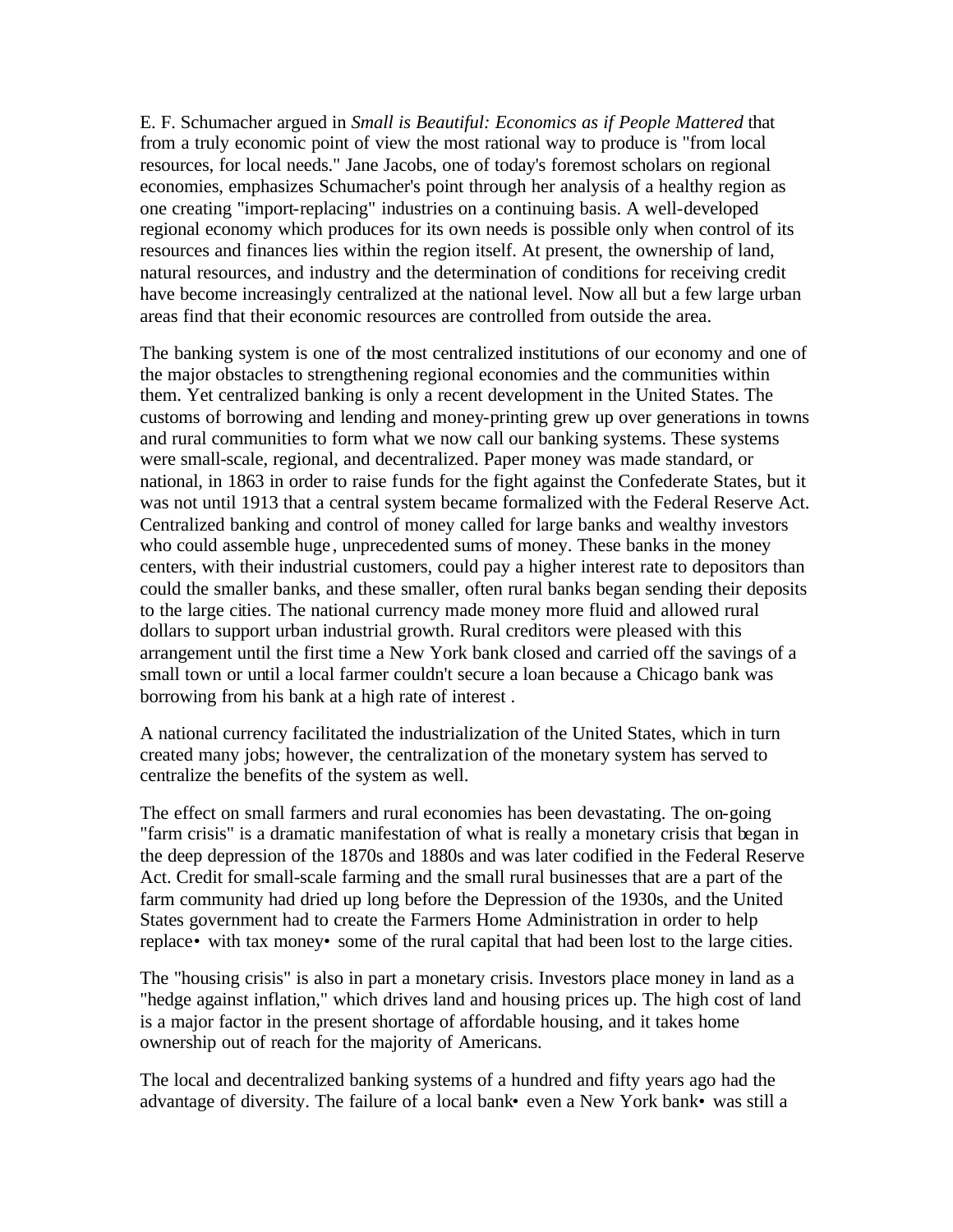E. F. Schumacher argued in *Small is Beautiful: Economics as if People Mattered* that from a truly economic point of view the most rational way to produce is "from local resources, for local needs." Jane Jacobs, one of today's foremost scholars on regional economies, emphasizes Schumacher's point through her analysis of a healthy region as one creating "import-replacing" industries on a continuing basis. A well-developed regional economy which produces for its own needs is possible only when control of its resources and finances lies within the region itself. At present, the ownership of land, natural resources, and industry and the determination of conditions for receiving credit have become increasingly centralized at the national level. Now all but a few large urban areas find that their economic resources are controlled from outside the area.

The banking system is one of the most centralized institutions of our economy and one of the major obstacles to strengthening regional economies and the communities within them. Yet centralized banking is only a recent development in the United States. The customs of borrowing and lending and money-printing grew up over generations in towns and rural communities to form what we now call our banking systems. These systems were small-scale, regional, and decentralized. Paper money was made standard, or national, in 1863 in order to raise funds for the fight against the Confederate States, but it was not until 1913 that a central system became formalized with the Federal Reserve Act. Centralized banking and control of money called for large banks and wealthy investors who could assemble huge , unprecedented sums of money. These banks in the money centers, with their industrial customers, could pay a higher interest rate to depositors than could the smaller banks, and these smaller, often rural banks began sending their deposits to the large cities. The national currency made money more fluid and allowed rural dollars to support urban industrial growth. Rural creditors were pleased with this arrangement until the first time a New York bank closed and carried off the savings of a small town or until a local farmer couldn't secure a loan because a Chicago bank was borrowing from his bank at a high rate of interest .

A national currency facilitated the industrialization of the United States, which in turn created many jobs; however, the centralization of the monetary system has served to centralize the benefits of the system as well.

The effect on small farmers and rural economies has been devastating. The on-going "farm crisis" is a dramatic manifestation of what is really a monetary crisis that began in the deep depression of the 1870s and 1880s and was later codified in the Federal Reserve Act. Credit for small-scale farming and the small rural businesses that are a part of the farm community had dried up long before the Depression of the 1930s, and the United States government had to create the Farmers Home Administration in order to help replace• with tax money• some of the rural capital that had been lost to the large cities.

The "housing crisis" is also in part a monetary crisis. Investors place money in land as a "hedge against inflation," which drives land and housing prices up. The high cost of land is a major factor in the present shortage of affordable housing, and it takes home ownership out of reach for the majority of Americans.

The local and decentralized banking systems of a hundred and fifty years ago had the advantage of diversity. The failure of a local bank• even a New York bank• was still a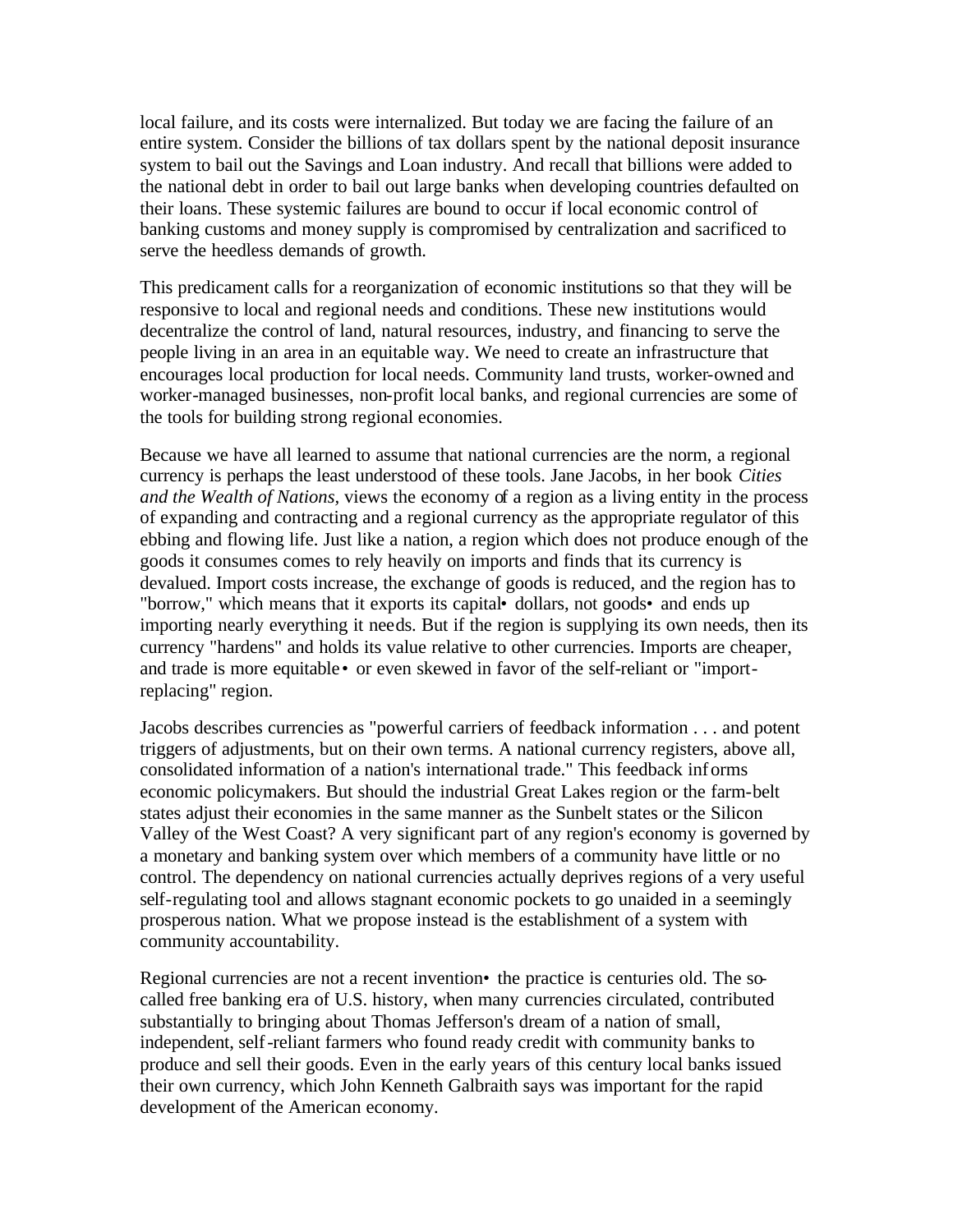local failure, and its costs were internalized. But today we are facing the failure of an entire system. Consider the billions of tax dollars spent by the national deposit insurance system to bail out the Savings and Loan industry. And recall that billions were added to the national debt in order to bail out large banks when developing countries defaulted on their loans. These systemic failures are bound to occur if local economic control of banking customs and money supply is compromised by centralization and sacrificed to serve the heedless demands of growth.

This predicament calls for a reorganization of economic institutions so that they will be responsive to local and regional needs and conditions. These new institutions would decentralize the control of land, natural resources, industry, and financing to serve the people living in an area in an equitable way. We need to create an infrastructure that encourages local production for local needs. Community land trusts, worker-owned and worker-managed businesses, non-profit local banks, and regional currencies are some of the tools for building strong regional economies.

Because we have all learned to assume that national currencies are the norm, a regional currency is perhaps the least understood of these tools. Jane Jacobs, in her book *Cities and the Wealth of Nations,* views the economy of a region as a living entity in the process of expanding and contracting and a regional currency as the appropriate regulator of this ebbing and flowing life. Just like a nation, a region which does not produce enough of the goods it consumes comes to rely heavily on imports and finds that its currency is devalued. Import costs increase, the exchange of goods is reduced, and the region has to "borrow," which means that it exports its capital dollars, not goods and ends up importing nearly everything it needs. But if the region is supplying its own needs, then its currency "hardens" and holds its value relative to other currencies. Imports are cheaper, and trade is more equitable • or even skewed in favor of the self-reliant or "importreplacing" region.

Jacobs describes currencies as "powerful carriers of feedback information . . . and potent triggers of adjustments, but on their own terms. A national currency registers, above all, consolidated information of a nation's international trade." This feedback informs economic policymakers. But should the industrial Great Lakes region or the farm-belt states adjust their economies in the same manner as the Sunbelt states or the Silicon Valley of the West Coast? A very significant part of any region's economy is governed by a monetary and banking system over which members of a community have little or no control. The dependency on national currencies actually deprives regions of a very useful self-regulating tool and allows stagnant economic pockets to go unaided in a seemingly prosperous nation. What we propose instead is the establishment of a system with community accountability.

Regional currencies are not a recent invention• the practice is centuries old. The socalled free banking era of U.S. history, when many currencies circulated, contributed substantially to bringing about Thomas Jefferson's dream of a nation of small, independent, self-reliant farmers who found ready credit with community banks to produce and sell their goods. Even in the early years of this century local banks issued their own currency, which John Kenneth Galbraith says was important for the rapid development of the American economy.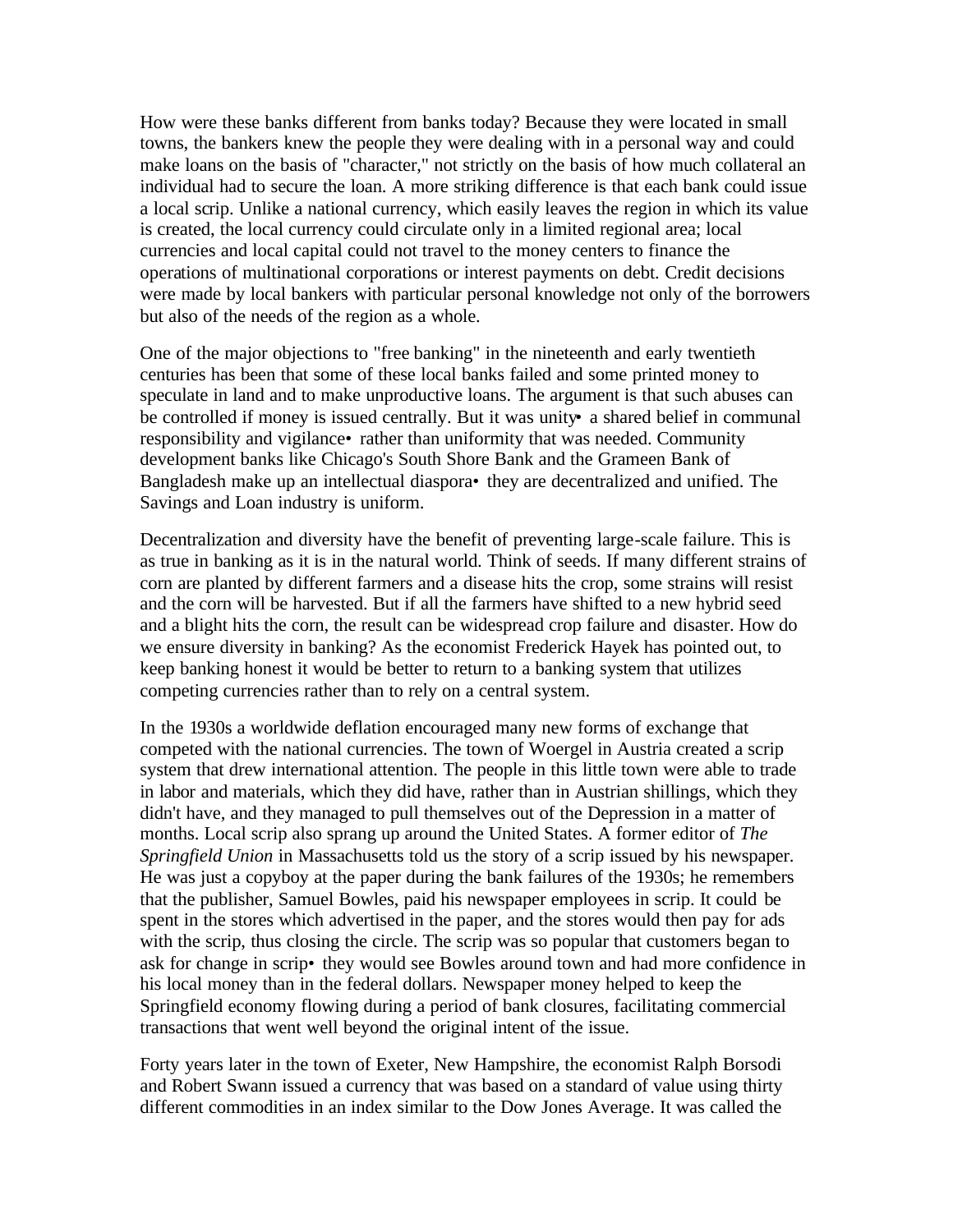How were these banks different from banks today? Because they were located in small towns, the bankers knew the people they were dealing with in a personal way and could make loans on the basis of "character," not strictly on the basis of how much collateral an individual had to secure the loan. A more striking difference is that each bank could issue a local scrip. Unlike a national currency, which easily leaves the region in which its value is created, the local currency could circulate only in a limited regional area; local currencies and local capital could not travel to the money centers to finance the operations of multinational corporations or interest payments on debt. Credit decisions were made by local bankers with particular personal knowledge not only of the borrowers but also of the needs of the region as a whole.

One of the major objections to "free banking" in the nineteenth and early twentieth centuries has been that some of these local banks failed and some printed money to speculate in land and to make unproductive loans. The argument is that such abuses can be controlled if money is issued centrally. But it was unity a shared belief in communal responsibility and vigilance• rather than uniformity that was needed. Community development banks like Chicago's South Shore Bank and the Grameen Bank of Bangladesh make up an intellectual diaspora• they are decentralized and unified. The Savings and Loan industry is uniform.

Decentralization and diversity have the benefit of preventing large-scale failure. This is as true in banking as it is in the natural world. Think of seeds. If many different strains of corn are planted by different farmers and a disease hits the crop, some strains will resist and the corn will be harvested. But if all the farmers have shifted to a new hybrid seed and a blight hits the corn, the result can be widespread crop failure and disaster. How do we ensure diversity in banking? As the economist Frederick Hayek has pointed out, to keep banking honest it would be better to return to a banking system that utilizes competing currencies rather than to rely on a central system.

In the 1930s a worldwide deflation encouraged many new forms of exchange that competed with the national currencies. The town of Woergel in Austria created a scrip system that drew international attention. The people in this little town were able to trade in labor and materials, which they did have, rather than in Austrian shillings, which they didn't have, and they managed to pull themselves out of the Depression in a matter of months. Local scrip also sprang up around the United States. A former editor of *The Springfield Union* in Massachusetts told us the story of a scrip issued by his newspaper. He was just a copyboy at the paper during the bank failures of the 1930s; he remembers that the publisher, Samuel Bowles, paid his newspaper employees in scrip. It could be spent in the stores which advertised in the paper, and the stores would then pay for ads with the scrip, thus closing the circle. The scrip was so popular that customers began to ask for change in scrip• they would see Bowles around town and had more confidence in his local money than in the federal dollars. Newspaper money helped to keep the Springfield economy flowing during a period of bank closures, facilitating commercial transactions that went well beyond the original intent of the issue.

Forty years later in the town of Exeter, New Hampshire, the economist Ralph Borsodi and Robert Swann issued a currency that was based on a standard of value using thirty different commodities in an index similar to the Dow Jones Average. It was called the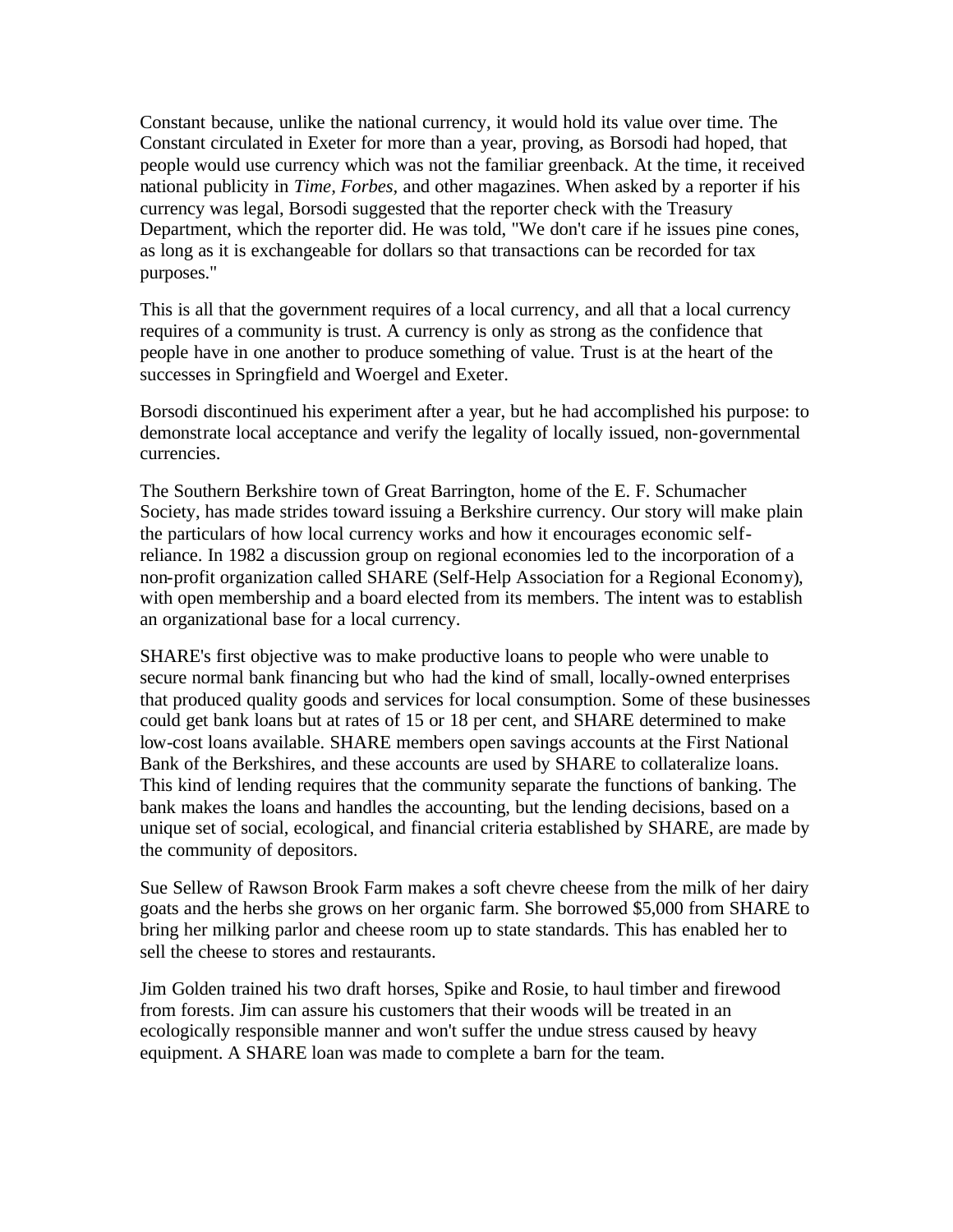Constant because, unlike the national currency, it would hold its value over time. The Constant circulated in Exeter for more than a year, proving, as Borsodi had hoped, that people would use currency which was not the familiar greenback. At the time, it received national publicity in *Time, Forbes,* and other magazines. When asked by a reporter if his currency was legal, Borsodi suggested that the reporter check with the Treasury Department, which the reporter did. He was told, "We don't care if he issues pine cones, as long as it is exchangeable for dollars so that transactions can be recorded for tax purposes."

This is all that the government requires of a local currency, and all that a local currency requires of a community is trust. A currency is only as strong as the confidence that people have in one another to produce something of value. Trust is at the heart of the successes in Springfield and Woergel and Exeter.

Borsodi discontinued his experiment after a year, but he had accomplished his purpose: to demonstrate local acceptance and verify the legality of locally issued, non-governmental currencies.

The Southern Berkshire town of Great Barrington, home of the E. F. Schumacher Society, has made strides toward issuing a Berkshire currency. Our story will make plain the particulars of how local currency works and how it encourages economic selfreliance. In 1982 a discussion group on regional economies led to the incorporation of a non-profit organization called SHARE (Self-Help Association for a Regional Economy), with open membership and a board elected from its members. The intent was to establish an organizational base for a local currency.

SHARE's first objective was to make productive loans to people who were unable to secure normal bank financing but who had the kind of small, locally-owned enterprises that produced quality goods and services for local consumption. Some of these businesses could get bank loans but at rates of 15 or 18 per cent, and SHARE determined to make low-cost loans available. SHARE members open savings accounts at the First National Bank of the Berkshires, and these accounts are used by SHARE to collateralize loans. This kind of lending requires that the community separate the functions of banking. The bank makes the loans and handles the accounting, but the lending decisions, based on a unique set of social, ecological, and financial criteria established by SHARE, are made by the community of depositors.

Sue Sellew of Rawson Brook Farm makes a soft chevre cheese from the milk of her dairy goats and the herbs she grows on her organic farm. She borrowed \$5,000 from SHARE to bring her milking parlor and cheese room up to state standards. This has enabled her to sell the cheese to stores and restaurants.

Jim Golden trained his two draft horses, Spike and Rosie, to haul timber and firewood from forests. Jim can assure his customers that their woods will be treated in an ecologically responsible manner and won't suffer the undue stress caused by heavy equipment. A SHARE loan was made to complete a barn for the team.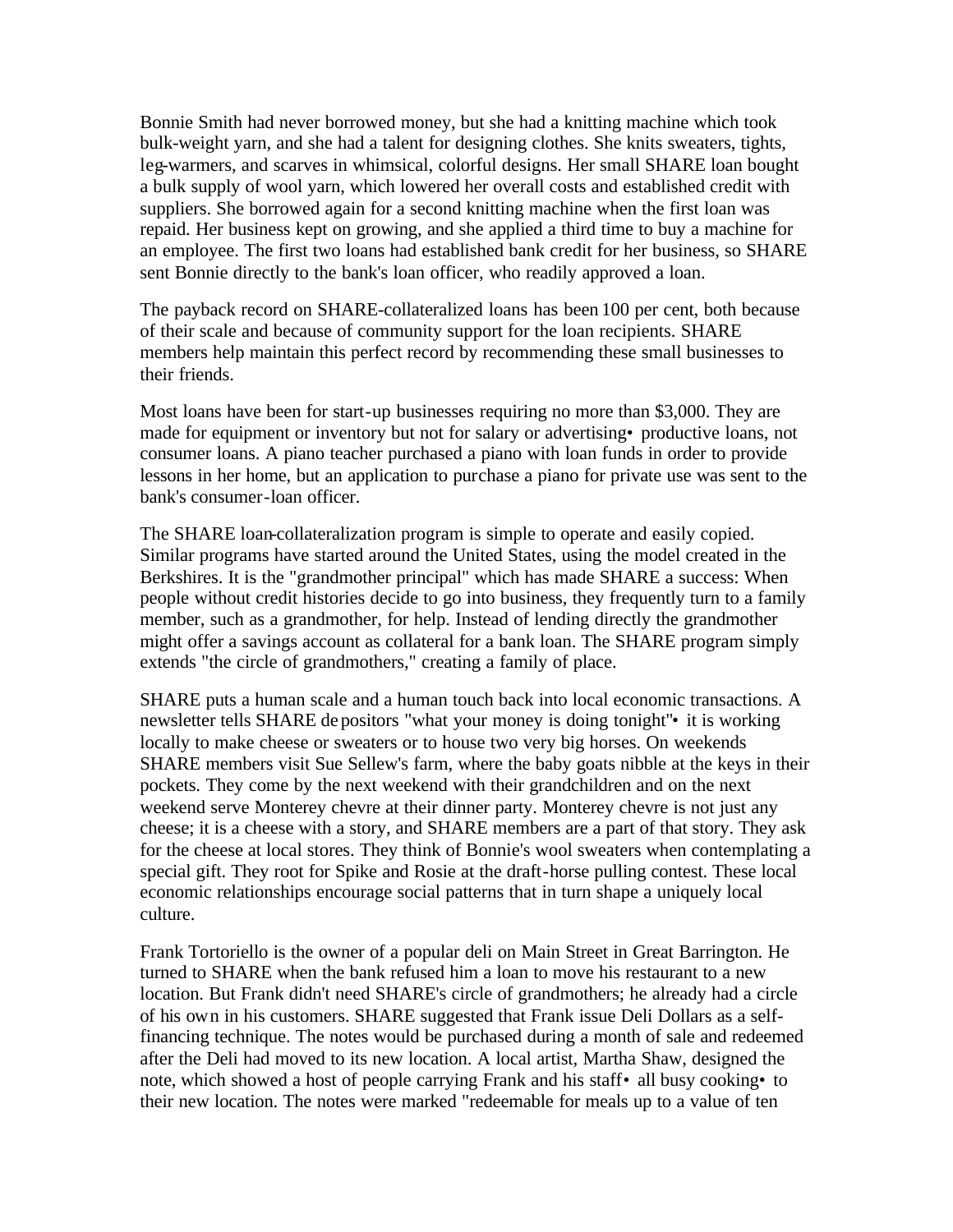Bonnie Smith had never borrowed money, but she had a knitting machine which took bulk-weight yarn, and she had a talent for designing clothes. She knits sweaters, tights, leg-warmers, and scarves in whimsical, colorful designs. Her small SHARE loan bought a bulk supply of wool yarn, which lowered her overall costs and established credit with suppliers. She borrowed again for a second knitting machine when the first loan was repaid. Her business kept on growing, and she applied a third time to buy a machine for an employee. The first two loans had established bank credit for her business, so SHARE sent Bonnie directly to the bank's loan officer, who readily approved a loan.

The payback record on SHARE-collateralized loans has been 100 per cent, both because of their scale and because of community support for the loan recipients. SHARE members help maintain this perfect record by recommending these small businesses to their friends.

Most loans have been for start-up businesses requiring no more than \$3,000. They are made for equipment or inventory but not for salary or advertising• productive loans, not consumer loans. A piano teacher purchased a piano with loan funds in order to provide lessons in her home, but an application to purchase a piano for private use was sent to the bank's consumer-loan officer.

The SHARE loan-collateralization program is simple to operate and easily copied. Similar programs have started around the United States, using the model created in the Berkshires. It is the "grandmother principal" which has made SHARE a success: When people without credit histories decide to go into business, they frequently turn to a family member, such as a grandmother, for help. Instead of lending directly the grandmother might offer a savings account as collateral for a bank loan. The SHARE program simply extends "the circle of grandmothers," creating a family of place.

SHARE puts a human scale and a human touch back into local economic transactions. A newsletter tells SHARE depositors "what your money is doing tonight"• it is working locally to make cheese or sweaters or to house two very big horses. On weekends SHARE members visit Sue Sellew's farm, where the baby goats nibble at the keys in their pockets. They come by the next weekend with their grandchildren and on the next weekend serve Monterey chevre at their dinner party. Monterey chevre is not just any cheese; it is a cheese with a story, and SHARE members are a part of that story. They ask for the cheese at local stores. They think of Bonnie's wool sweaters when contemplating a special gift. They root for Spike and Rosie at the draft-horse pulling contest. These local economic relationships encourage social patterns that in turn shape a uniquely local culture.

Frank Tortoriello is the owner of a popular deli on Main Street in Great Barrington. He turned to SHARE when the bank refused him a loan to move his restaurant to a new location. But Frank didn't need SHARE's circle of grandmothers; he already had a circle of his own in his customers. SHARE suggested that Frank issue Deli Dollars as a selffinancing technique. The notes would be purchased during a month of sale and redeemed after the Deli had moved to its new location. A local artist, Martha Shaw, designed the note, which showed a host of people carrying Frank and his staff• all busy cooking• to their new location. The notes were marked "redeemable for meals up to a value of ten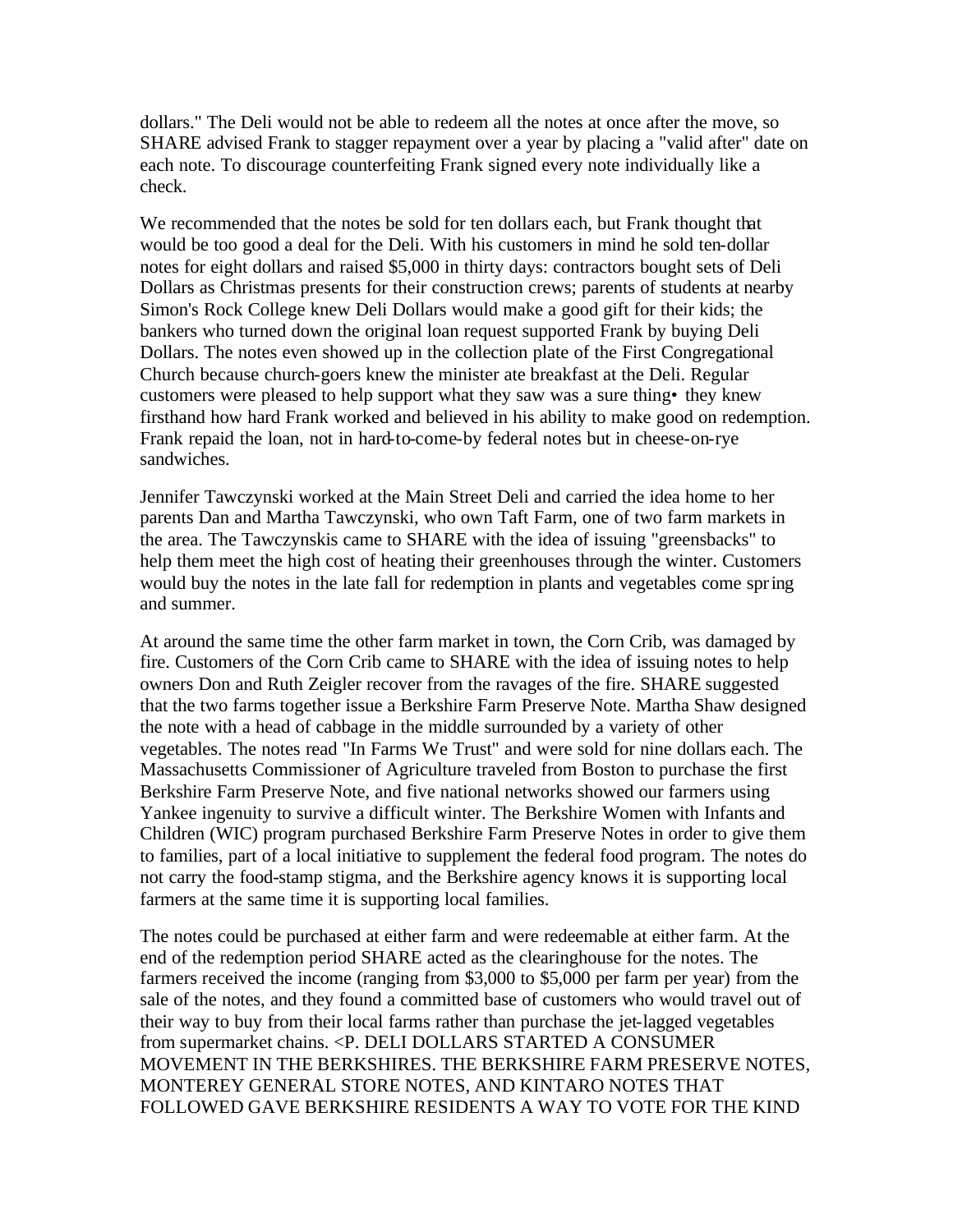dollars." The Deli would not be able to redeem all the notes at once after the move, so SHARE advised Frank to stagger repayment over a year by placing a "valid after" date on each note. To discourage counterfeiting Frank signed every note individually like a check.

We recommended that the notes be sold for ten dollars each, but Frank thought that would be too good a deal for the Deli. With his customers in mind he sold ten-dollar notes for eight dollars and raised \$5,000 in thirty days: contractors bought sets of Deli Dollars as Christmas presents for their construction crews; parents of students at nearby Simon's Rock College knew Deli Dollars would make a good gift for their kids; the bankers who turned down the original loan request supported Frank by buying Deli Dollars. The notes even showed up in the collection plate of the First Congregational Church because church-goers knew the minister ate breakfast at the Deli. Regular customers were pleased to help support what they saw was a sure thing• they knew firsthand how hard Frank worked and believed in his ability to make good on redemption. Frank repaid the loan, not in hard-to-come-by federal notes but in cheese-on-rye sandwiches.

Jennifer Tawczynski worked at the Main Street Deli and carried the idea home to her parents Dan and Martha Tawczynski, who own Taft Farm, one of two farm markets in the area. The Tawczynskis came to SHARE with the idea of issuing "greensbacks" to help them meet the high cost of heating their greenhouses through the winter. Customers would buy the notes in the late fall for redemption in plants and vegetables come spring and summer.

At around the same time the other farm market in town, the Corn Crib, was damaged by fire. Customers of the Corn Crib came to SHARE with the idea of issuing notes to help owners Don and Ruth Zeigler recover from the ravages of the fire. SHARE suggested that the two farms together issue a Berkshire Farm Preserve Note. Martha Shaw designed the note with a head of cabbage in the middle surrounded by a variety of other vegetables. The notes read "In Farms We Trust" and were sold for nine dollars each. The Massachusetts Commissioner of Agriculture traveled from Boston to purchase the first Berkshire Farm Preserve Note, and five national networks showed our farmers using Yankee ingenuity to survive a difficult winter. The Berkshire Women with Infants and Children (WIC) program purchased Berkshire Farm Preserve Notes in order to give them to families, part of a local initiative to supplement the federal food program. The notes do not carry the food-stamp stigma, and the Berkshire agency knows it is supporting local farmers at the same time it is supporting local families.

The notes could be purchased at either farm and were redeemable at either farm. At the end of the redemption period SHARE acted as the clearinghouse for the notes. The farmers received the income (ranging from \$3,000 to \$5,000 per farm per year) from the sale of the notes, and they found a committed base of customers who would travel out of their way to buy from their local farms rather than purchase the jet-lagged vegetables from supermarket chains. <P. DELI DOLLARS STARTED A CONSUMER MOVEMENT IN THE BERKSHIRES. THE BERKSHIRE FARM PRESERVE NOTES, MONTEREY GENERAL STORE NOTES, AND KINTARO NOTES THAT FOLLOWED GAVE BERKSHIRE RESIDENTS A WAY TO VOTE FOR THE KIND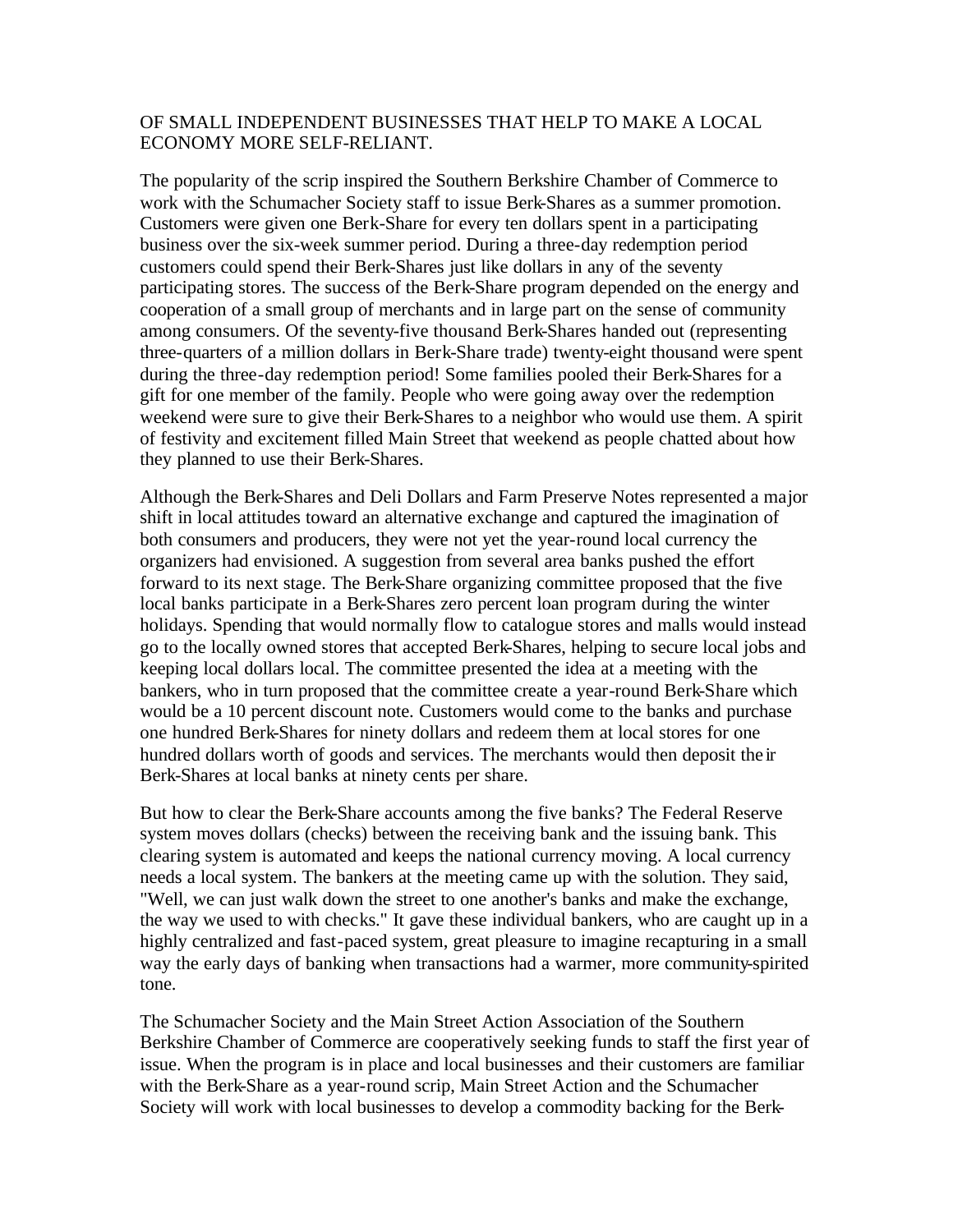## OF SMALL INDEPENDENT BUSINESSES THAT HELP TO MAKE A LOCAL ECONOMY MORE SELF-RELIANT.

The popularity of the scrip inspired the Southern Berkshire Chamber of Commerce to work with the Schumacher Society staff to issue Berk-Shares as a summer promotion. Customers were given one Berk-Share for every ten dollars spent in a participating business over the six-week summer period. During a three-day redemption period customers could spend their Berk-Shares just like dollars in any of the seventy participating stores. The success of the Berk-Share program depended on the energy and cooperation of a small group of merchants and in large part on the sense of community among consumers. Of the seventy-five thousand Berk-Shares handed out (representing three-quarters of a million dollars in Berk-Share trade) twenty-eight thousand were spent during the three-day redemption period! Some families pooled their Berk-Shares for a gift for one member of the family. People who were going away over the redemption weekend were sure to give their Berk-Shares to a neighbor who would use them. A spirit of festivity and excitement filled Main Street that weekend as people chatted about how they planned to use their Berk-Shares.

Although the Berk-Shares and Deli Dollars and Farm Preserve Notes represented a major shift in local attitudes toward an alternative exchange and captured the imagination of both consumers and producers, they were not yet the year-round local currency the organizers had envisioned. A suggestion from several area banks pushed the effort forward to its next stage. The Berk-Share organizing committee proposed that the five local banks participate in a Berk-Shares zero percent loan program during the winter holidays. Spending that would normally flow to catalogue stores and malls would instead go to the locally owned stores that accepted Berk-Shares, helping to secure local jobs and keeping local dollars local. The committee presented the idea at a meeting with the bankers, who in turn proposed that the committee create a year-round Berk-Share which would be a 10 percent discount note. Customers would come to the banks and purchase one hundred Berk-Shares for ninety dollars and redeem them at local stores for one hundred dollars worth of goods and services. The merchants would then deposit the ir Berk-Shares at local banks at ninety cents per share.

But how to clear the Berk-Share accounts among the five banks? The Federal Reserve system moves dollars (checks) between the receiving bank and the issuing bank. This clearing system is automated and keeps the national currency moving. A local currency needs a local system. The bankers at the meeting came up with the solution. They said, "Well, we can just walk down the street to one another's banks and make the exchange, the way we used to with checks." It gave these individual bankers, who are caught up in a highly centralized and fast-paced system, great pleasure to imagine recapturing in a small way the early days of banking when transactions had a warmer, more community-spirited tone.

The Schumacher Society and the Main Street Action Association of the Southern Berkshire Chamber of Commerce are cooperatively seeking funds to staff the first year of issue. When the program is in place and local businesses and their customers are familiar with the Berk-Share as a year-round scrip, Main Street Action and the Schumacher Society will work with local businesses to develop a commodity backing for the Berk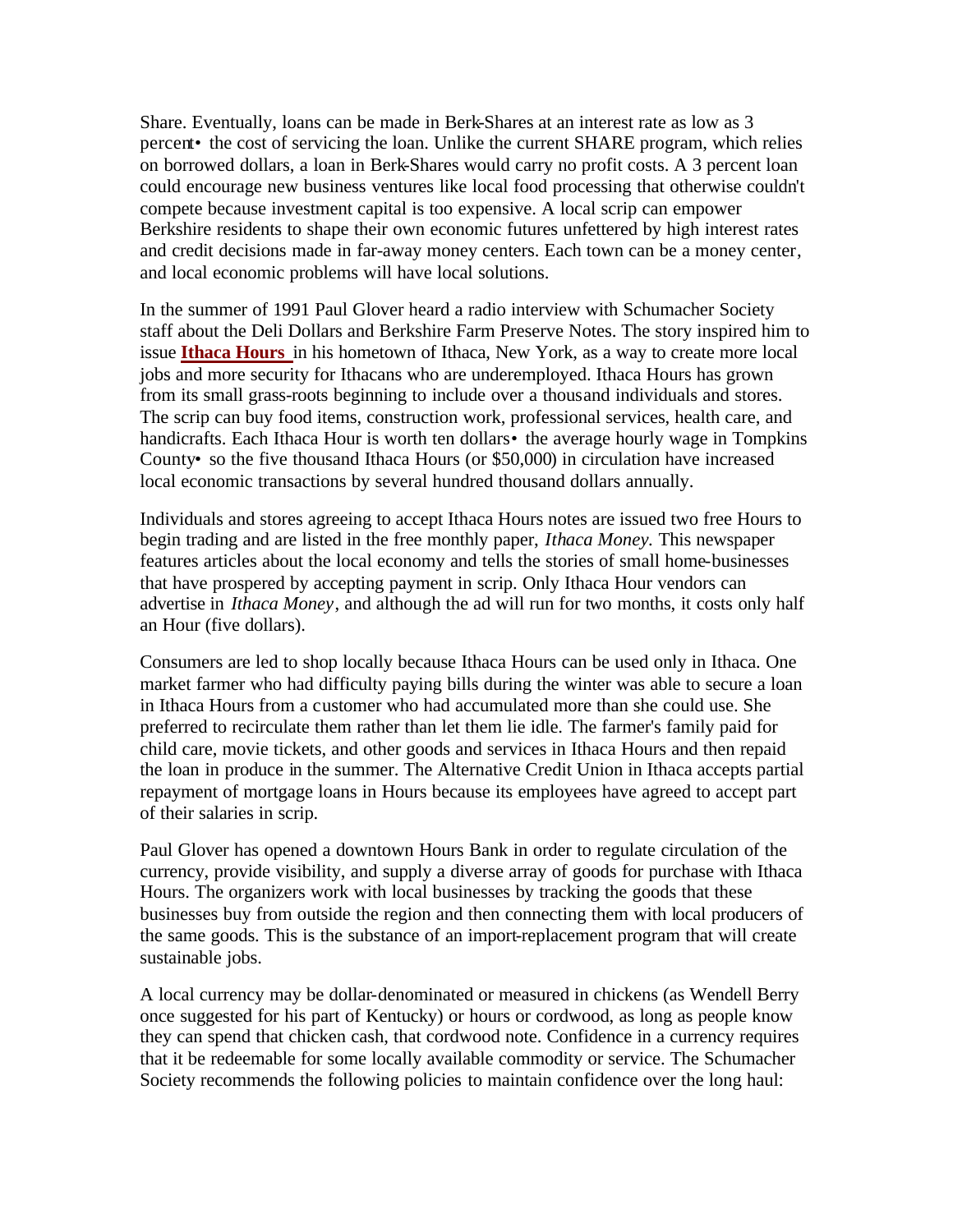Share. Eventually, loans can be made in Berk-Shares at an interest rate as low as 3 percent• the cost of servicing the loan. Unlike the current SHARE program, which relies on borrowed dollars, a loan in Berk-Shares would carry no profit costs. A 3 percent loan could encourage new business ventures like local food processing that otherwise couldn't compete because investment capital is too expensive. A local scrip can empower Berkshire residents to shape their own economic futures unfettered by high interest rates and credit decisions made in far-away money centers. Each town can be a money center, and local economic problems will have local solutions.

In the summer of 1991 Paul Glover heard a radio interview with Schumacher Society staff about the Deli Dollars and Berkshire Farm Preserve Notes. The story inspired him to issue **Ithaca Hours** in his hometown of Ithaca, New York, as a way to create more local jobs and more security for Ithacans who are underemployed. Ithaca Hours has grown from its small grass-roots beginning to include over a thousand individuals and stores. The scrip can buy food items, construction work, professional services, health care, and handicrafts. Each Ithaca Hour is worth ten dollars• the average hourly wage in Tompkins County• so the five thousand Ithaca Hours (or \$50,000) in circulation have increased local economic transactions by several hundred thousand dollars annually.

Individuals and stores agreeing to accept Ithaca Hours notes are issued two free Hours to begin trading and are listed in the free monthly paper, *Ithaca Money.* This newspaper features articles about the local economy and tells the stories of small home-businesses that have prospered by accepting payment in scrip. Only Ithaca Hour vendors can advertise in *Ithaca Money*, and although the ad will run for two months, it costs only half an Hour (five dollars).

Consumers are led to shop locally because Ithaca Hours can be used only in Ithaca. One market farmer who had difficulty paying bills during the winter was able to secure a loan in Ithaca Hours from a customer who had accumulated more than she could use. She preferred to recirculate them rather than let them lie idle. The farmer's family paid for child care, movie tickets, and other goods and services in Ithaca Hours and then repaid the loan in produce in the summer. The Alternative Credit Union in Ithaca accepts partial repayment of mortgage loans in Hours because its employees have agreed to accept part of their salaries in scrip.

Paul Glover has opened a downtown Hours Bank in order to regulate circulation of the currency, provide visibility, and supply a diverse array of goods for purchase with Ithaca Hours. The organizers work with local businesses by tracking the goods that these businesses buy from outside the region and then connecting them with local producers of the same goods. This is the substance of an import-replacement program that will create sustainable jobs.

A local currency may be dollar-denominated or measured in chickens (as Wendell Berry once suggested for his part of Kentucky) or hours or cordwood, as long as people know they can spend that chicken cash, that cordwood note. Confidence in a currency requires that it be redeemable for some locally available commodity or service. The Schumacher Society recommends the following policies to maintain confidence over the long haul: